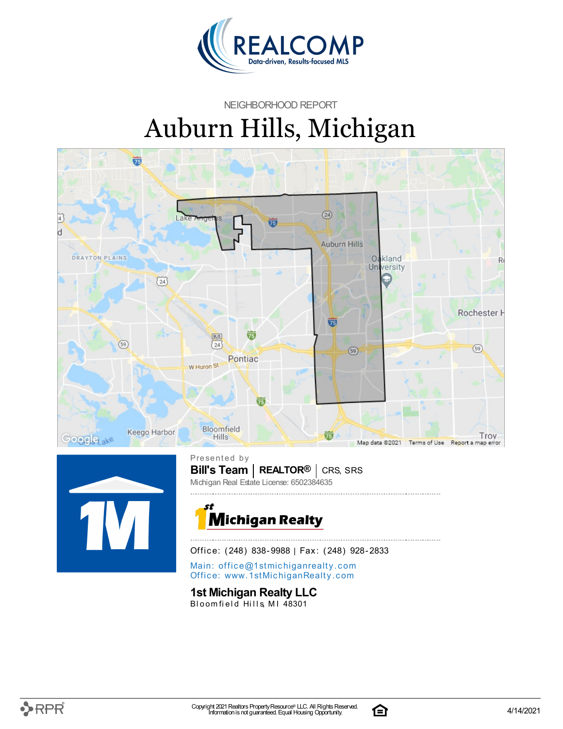

NEIGHBORHOOD REPORT

# Auburn Hills, Michigan





**Bill's Team** | REALTOR<sup>®</sup> | CRS, SRS Presented by Michigan Real Estate License: 6502384635



Office: (248) 838-9988 | Fax: (248) 928-2833

Main: o[ffi](mailto:office@1stmichiganrealty.com)ce@1stmichiganrealty.com Office: [www.](https://www.1stmichiganrealty.com/)1stMichiganRealty.com

### **1st Michigan Realty LLC**

Bloomfield Hills, MI 48301



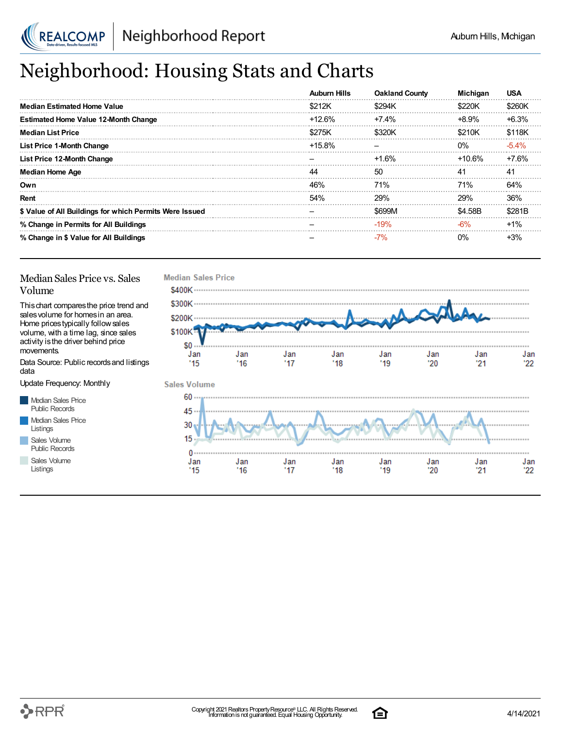

# Neighborhood: Housing Stats and Charts

|                                                         | <b>Auburn Hills</b> | <b>Oakland County</b> | <b>Michigan</b> | <b>USA</b> |
|---------------------------------------------------------|---------------------|-----------------------|-----------------|------------|
| Median Estimated Home Value                             | \$212K              | \$294K                | \$220K          | \$260K     |
| <b>Estimated Home Value 12-Month Change</b>             | $+12.6%$            | $+7.4%$               | $+8.9%$         | $+6.3%$    |
| <b>Median List Price</b>                                | \$275K              | \$320K                | \$210K          | \$118K     |
| <b>List Price 1-Month Change</b>                        | $+15.8\%$           |                       | $0\%$           | $-5.4\%$   |
| List Price 12-Month Change                              |                     | $+1.6%$               | $+10.6%$        | +7.6%      |
| <b>Median Home Age</b>                                  | 44                  | 50                    | 41              | 41         |
| Own                                                     | 46%                 | <b>71%</b>            | 71%             | 64%        |
| Rent                                                    | 54%                 | 29%                   | 29%             | 36%        |
| \$ Value of All Buildings for which Permits Were Issued |                     | \$699M                | \$4.58B         | \$281B     |
| % Change in Permits for All Buildings                   |                     | $-19%$                | $-6%$           | $+1\%$     |
| % Change in \$ Value for All Buildings                  |                     | $-7%$                 | 0%              | $+3%$      |

#### Median Sales Price vs. Sales Volume

Thischart comparesthe price trend and salesvolume for homesin an area. Home pricestypically followsales volume, with a time lag, since sales activity is the driver behind price movements.

Data Source: Public recordsand listings data

Update Frequency: Monthly

Median Sales Price Public Records Median Sales Price Listings Sales Volume

Public Records

Sales Volume Listings





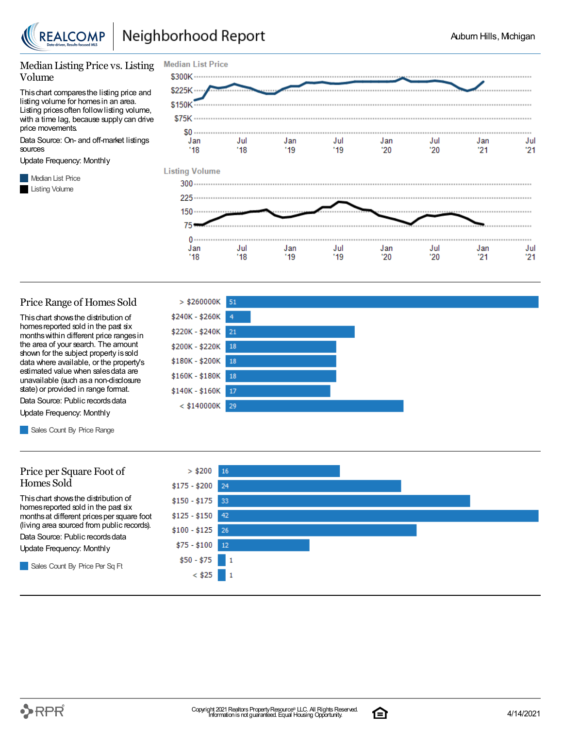

#### Median Listing Price vs. Listing Volume

Thischart comparesthe listing price and listing volume for homesin an area. Listing prices often follow listing volume, with a time lag, because supply can drive price movements.

Data Source: On- and off-market listings sources

Update Frequency: Monthly

**Median List Price** Listing Volume



#### Price Range of Homes Sold

Thischart showsthe distribution of homes reported sold in the past six monthswithin different price rangesin the area of your search. The amount shown for the subject property issold data where available, or the property's estimated value when salesdata are unavailable (such asa non-disclosure state) or provided in range format.

Data Source: Public records data Update Frequency: Monthly

Sales Count By Price Range

#### Price per Square Foot of Homes Sold

Thischart showsthe distribution of homes reported sold in the past six monthsat different pricesper square foot (living area sourced from public records).

Data Source: Public records data

Update Frequency: Monthly

Sales Count By Price Per Sq Ft





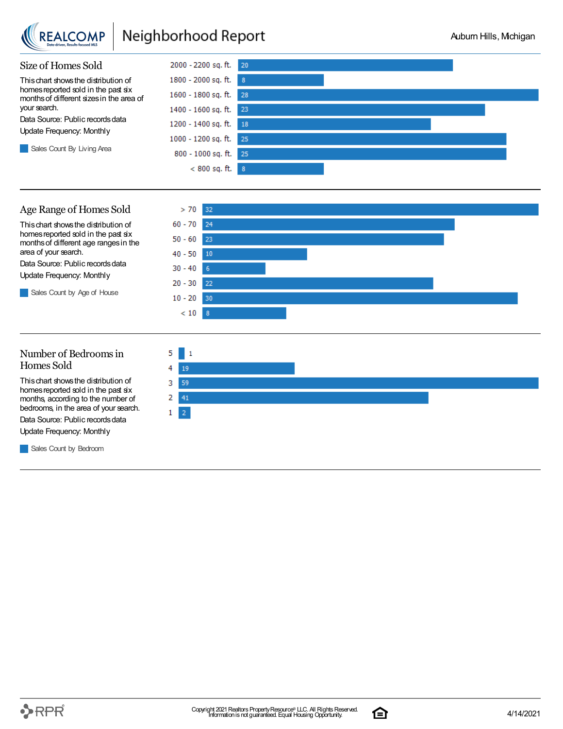

## Neighborhood Report



#### Age Range of Homes Sold

Thischart showsthe distribution of homes reported sold in the past six monthsof different age rangesin the area of your search.

Data Source: Public records data Update Frequency: Monthly

Sales Count by Age of House



#### Number of Bedroomsin Homes Sold

Thischart showsthe distribution of homes reported sold in the past six months, according to the number of bedrooms, in the area of your search.

Data Source: Public records data Update Frequency: Monthly

**Sales Count by Bedroom** 

 $5 \mid 1$ 4 19 3. 59 2 41  $\mathbf{1}$  $\vert 2 \vert$ 

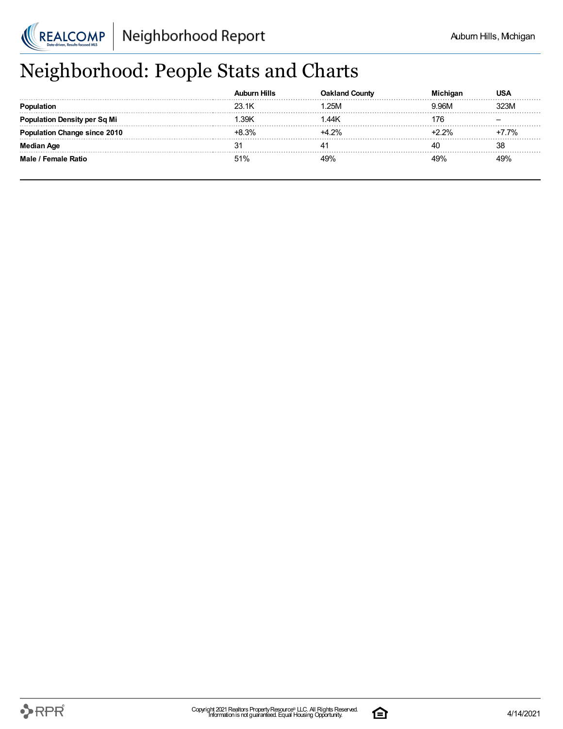

# Neighborhood: People Stats and Charts

|                               | ourn Hills |                |     |         |
|-------------------------------|------------|----------------|-----|---------|
|                               | 23.1K      | 25M            |     |         |
| <b>tion Density per Sq Mi</b> | 39K        | 1.44K          | 76  |         |
| <b>tion Change since 2010</b> | $+8.3%$    | +4 2%          |     | $7.7\%$ |
| Median Age                    | 3.         |                | 40  | 38      |
| Male / Female Ratio           | 51%        | Q <sub>0</sub> | 49% |         |

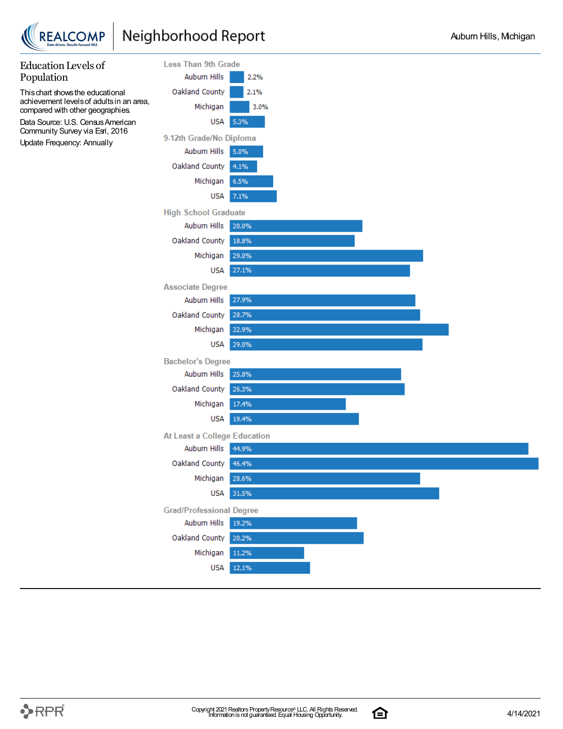



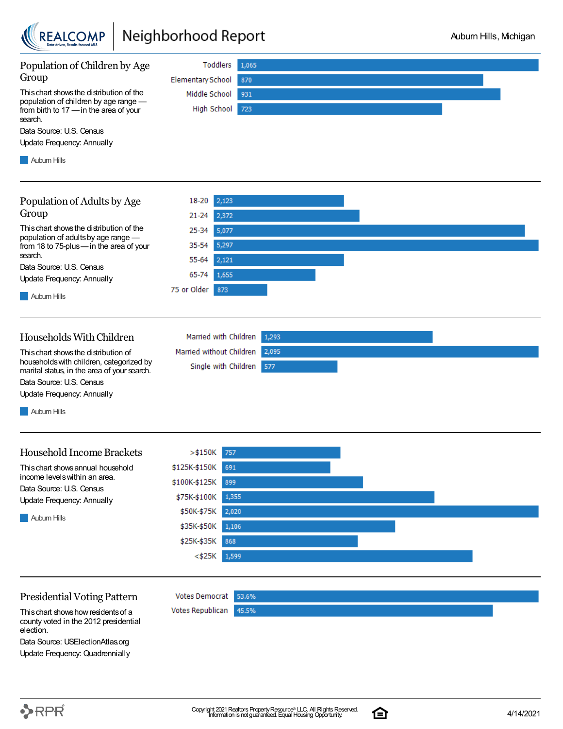

## Neighborhood Report



Data Source: USElectionAtlas.org Update Frequency: Quadrennially

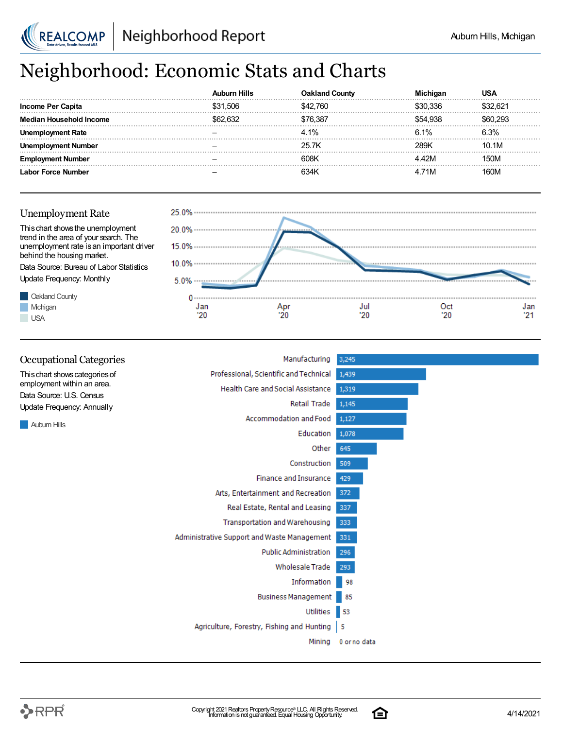

# Neighborhood: Economic Stats and Charts

|                   |          | l Countv |          |       |
|-------------------|----------|----------|----------|-------|
| Income Per Capita | \$31.506 | :42.760  | 336      |       |
| lousehold Income  | \$62.632 | 6.387    | \$54.938 |       |
| Rate              |          | 4.1%     | 6.1%     |       |
| Number            |          | 25 7K    | 28.9K    | 10.1M |
|                   |          | 608K     |          | 50M   |
| -orce Number      |          |          | . 71M    | ገባM   |





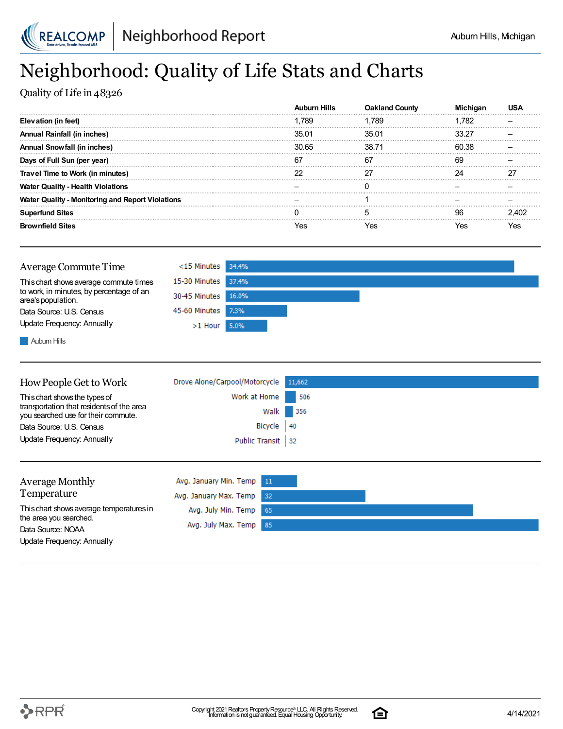

## Neighborhood: Quality of Life Stats and Charts

Quality of Life in 48326

|                                                         | <b>Auburn Hills</b> | <b>Oakland County</b> | Michiɑar | US.   |
|---------------------------------------------------------|---------------------|-----------------------|----------|-------|
| Elevation (in feet)                                     | 1.789               | 1.789                 | 1.782    |       |
| <b>Annual Rainfall (in inches)</b>                      | 35.01               | 35.01                 | 33.27    |       |
| <b>Annual Snowfall (in inches)</b>                      | 30.65               | 38.71                 | 60.38    |       |
| Days of Full Sun (per year)                             | 67                  | 67                    | 69       |       |
| Travel Time to Work (in minutes)                        |                     |                       | 24       |       |
| <b>Water Quality - Health Violations</b>                |                     |                       |          |       |
| <b>Water Quality - Monitoring and Report Violations</b> |                     |                       |          |       |
| <b>Superfund Sites</b>                                  |                     |                       | 96       | 2.402 |
| <b>Brownfield Sites</b>                                 | Yes                 | Yes                   | Yes      | Yes   |



**Auburn Hills** 

| How People Get to Work                                                           | Drove Alone/Carpool/Motorcycle 11,662 |     |
|----------------------------------------------------------------------------------|---------------------------------------|-----|
| This chart shows the types of                                                    | Work at Home                          | 506 |
| transportation that residents of the area<br>you searched use for their commute. | Walk                                  | 356 |
| Data Source: U.S. Census                                                         | Bicycle $ 40$                         |     |
| Update Frequency: Annually                                                       | Public Transit 32                     |     |
|                                                                                  |                                       |     |

| Average Monthly                             | Avg. January Min. Temp 11 |  |
|---------------------------------------------|---------------------------|--|
| Temperature                                 | Avg. January Max. Temp 32 |  |
| This chart shows average temperatures in    | Avg. July Min. Temp 65    |  |
| the area you searched.<br>Data Source: NOAA | Avg. July Max. Temp 85    |  |
| Update Frequency: Annually                  |                           |  |